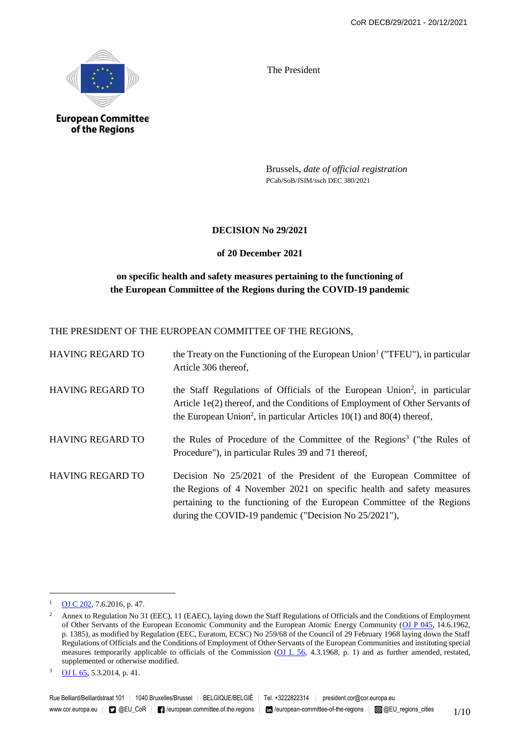

**European Committee** of the Regions

The President

Brussels, *date of official registration* PCab/SoB/JSIM/ssch DEC 380/2021

## **DECISION No 29/2021**

## **of 20 December 2021**

# **on specific health and safety measures pertaining to the functioning of the European Committee of the Regions during the COVID-19 pandemic**

THE PRESIDENT OF THE EUROPEAN COMMITTEE OF THE REGIONS,

| <b>HAVING REGARD TO</b> | the Treaty on the Functioning of the European Union <sup>1</sup> ("TFEU"), in particular<br>Article 306 thereof,                                                                                                                                                              |
|-------------------------|-------------------------------------------------------------------------------------------------------------------------------------------------------------------------------------------------------------------------------------------------------------------------------|
| <b>HAVING REGARD TO</b> | the Staff Regulations of Officials of the European Union <sup>2</sup> , in particular<br>Article 1e(2) thereof, and the Conditions of Employment of Other Servants of<br>the European Union <sup>2</sup> , in particular Articles $10(1)$ and $80(4)$ thereof,                |
| <b>HAVING REGARD TO</b> | the Rules of Procedure of the Committee of the Regions <sup>3</sup> ("the Rules of<br>Procedure"), in particular Rules 39 and 71 thereof,                                                                                                                                     |
| <b>HAVING REGARD TO</b> | Decision No 25/2021 of the President of the European Committee of<br>the Regions of 4 November 2021 on specific health and safety measures<br>pertaining to the functioning of the European Committee of the Regions<br>during the COVID-19 pandemic ("Decision No 25/2021"), |

1

<sup>1</sup> OJ C 202, 7.6.2016, p. 47.

<sup>&</sup>lt;sup>2</sup> Annex to Regulation No 31 (EEC), 11 (EAEC), laying down the Staff Regulations of Officials and the Conditions of Employment of Other Servants of the European Economic Community and the European Atomic Energy Community (OJ P 045, 14.6.1962, p. 1385), as modified by Regulation (EEC, Euratom, ECSC) No 259/68 of the Council of 29 February 1968 laying down the Staff Regulations of Officials and the Conditions of Employment of Other Servants of the European Communities and instituting special measures temporarily applicable to officials of the Commission  $(OL L 56, 4.3.1968, p. 1)$  and as further amended, restated, supplemented or otherwise modified.

<sup>3</sup> OJ L 65, 5.3.2014, p. 41.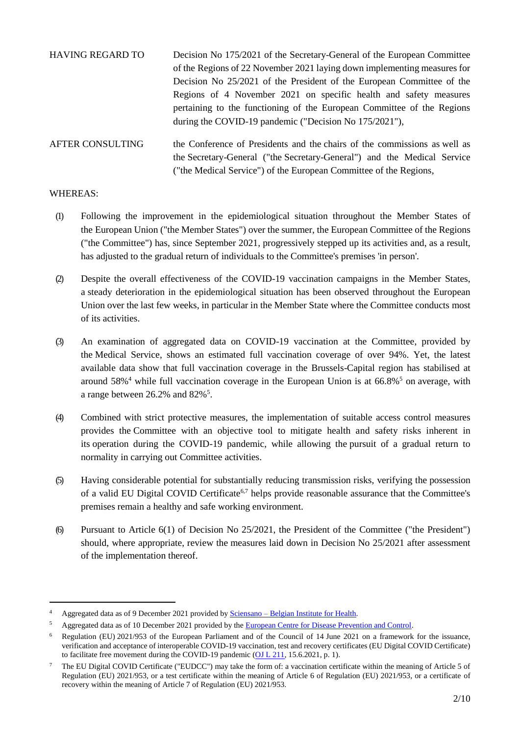| <b>HAVING REGARD TO</b> | Decision No 175/2021 of the Secretary-General of the European Committee   |
|-------------------------|---------------------------------------------------------------------------|
|                         | of the Regions of 22 November 2021 laying down implementing measures for  |
|                         | Decision No 25/2021 of the President of the European Committee of the     |
|                         | Regions of 4 November 2021 on specific health and safety measures         |
|                         | pertaining to the functioning of the European Committee of the Regions    |
|                         | during the COVID-19 pandemic ("Decision No 175/2021"),                    |
| <b>AFTER CONSULTING</b> | the Conference of Presidents and the chairs of the commissions as well as |
|                         | the Secretary-General ("the Secretary-General") and the Medical Service   |

#### WHEREAS:

1

(1) Following the improvement in the epidemiological situation throughout the Member States of the European Union ("the Member States") over the summer, the European Committee of the Regions ("the Committee") has, since September 2021, progressively stepped up its activities and, as a result, has adjusted to the gradual return of individuals to the Committee's premises 'in person'.

("the Medical Service") of the European Committee of the Regions,

- (2) Despite the overall effectiveness of the COVID-19 vaccination campaigns in the Member States, a steady deterioration in the epidemiological situation has been observed throughout the European Union over the last few weeks, in particular in the Member State where the Committee conducts most of its activities.
- (3) An examination of aggregated data on COVID-19 vaccination at the Committee, provided by the Medical Service, shows an estimated full vaccination coverage of over 94%. Yet, the latest available data show that full vaccination coverage in the Brussels-Capital region has stabilised at around  $58\%$ <sup>4</sup> while full vaccination coverage in the European Union is at  $66.8\%$ <sup>5</sup> on average, with a range between  $26.2\%$  and  $82\%$ <sup>5</sup>.
- (4) Combined with strict protective measures, the implementation of suitable access control measures provides the Committee with an objective tool to mitigate health and safety risks inherent in its operation during the COVID-19 pandemic, while allowing the pursuit of a gradual return to normality in carrying out Committee activities.
- (5) Having considerable potential for substantially reducing transmission risks, verifying the possession of a valid EU Digital COVID Certificate<sup>6,7</sup> helps provide reasonable assurance that the Committee's premises remain a healthy and safe working environment.
- (6) Pursuant to Article 6(1) of Decision No 25/2021, the President of the Committee ("the President") should, where appropriate, review the measures laid down in Decision No 25/2021 after assessment of the implementation thereof.

<sup>4</sup> Aggregated data as of 9 December 2021 provided by Sciensano – Belgian Institute for Health.

<sup>5</sup> Aggregated data as of 10 December 2021 provided by the European Centre for Disease Prevention and Control.

<sup>6</sup> Regulation (EU) 2021/953 of the European Parliament and of the Council of 14 June 2021 on a framework for the issuance, verification and acceptance of interoperable COVID-19 vaccination, test and recovery certificates (EU Digital COVID Certificate) to facilitate free movement during the COVID-19 pandemic (OJ L 211, 15.6.2021, p. 1).

<sup>7</sup> The EU Digital COVID Certificate ("EUDCC") may take the form of: a vaccination certificate within the meaning of Article 5 of Regulation (EU) 2021/953, or a test certificate within the meaning of Article 6 of Regulation (EU) 2021/953, or a certificate of recovery within the meaning of Article 7 of Regulation (EU) 2021/953.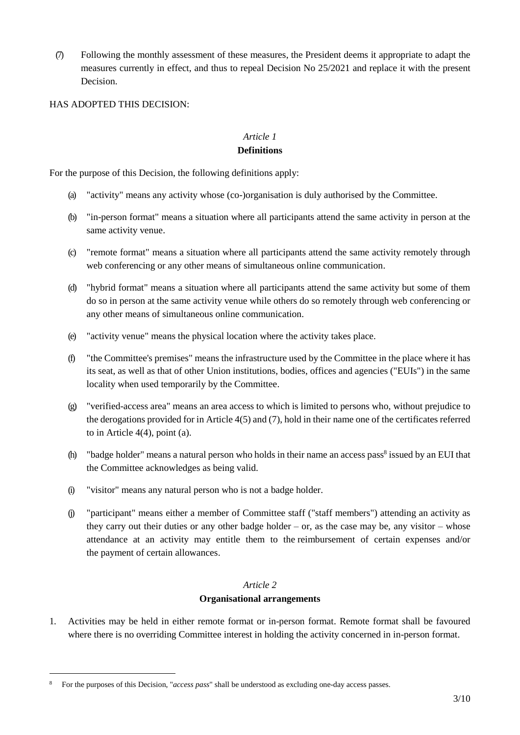(7) Following the monthly assessment of these measures, the President deems it appropriate to adapt the measures currently in effect, and thus to repeal Decision No 25/2021 and replace it with the present Decision.

HAS ADOPTED THIS DECISION:

# *Article 1*

#### **Definitions**

For the purpose of this Decision, the following definitions apply:

- (a) "activity" means any activity whose (co-)organisation is duly authorised by the Committee.
- (b) "in-person format" means a situation where all participants attend the same activity in person at the same activity venue.
- (c) "remote format" means a situation where all participants attend the same activity remotely through web conferencing or any other means of simultaneous online communication.
- (d) "hybrid format" means a situation where all participants attend the same activity but some of them do so in person at the same activity venue while others do so remotely through web conferencing or any other means of simultaneous online communication.
- (e) "activity venue" means the physical location where the activity takes place.
- (f) "the Committee's premises" means the infrastructure used by the Committee in the place where it has its seat, as well as that of other Union institutions, bodies, offices and agencies ("EUIs") in the same locality when used temporarily by the Committee.
- (g) "verified-access area" means an area access to which is limited to persons who, without prejudice to the derogations provided for in Article 4(5) and (7), hold in their name one of the certificates referred to in Article 4(4), point (a).
- (h) "badge holder" means a natural person who holds in their name an access pass<sup>8</sup> issued by an EUI that the Committee acknowledges as being valid.
- (i) "visitor" means any natural person who is not a badge holder.
- (j) "participant" means either a member of Committee staff ("staff members") attending an activity as they carry out their duties or any other badge holder – or, as the case may be, any visitor – whose attendance at an activity may entitle them to the reimbursement of certain expenses and/or the payment of certain allowances.

## *Article 2*

#### **Organisational arrangements**

1. Activities may be held in either remote format or in-person format. Remote format shall be favoured where there is no overriding Committee interest in holding the activity concerned in in-person format.

-

<sup>8</sup> For the purposes of this Decision, "*access pass*" shall be understood as excluding one-day access passes.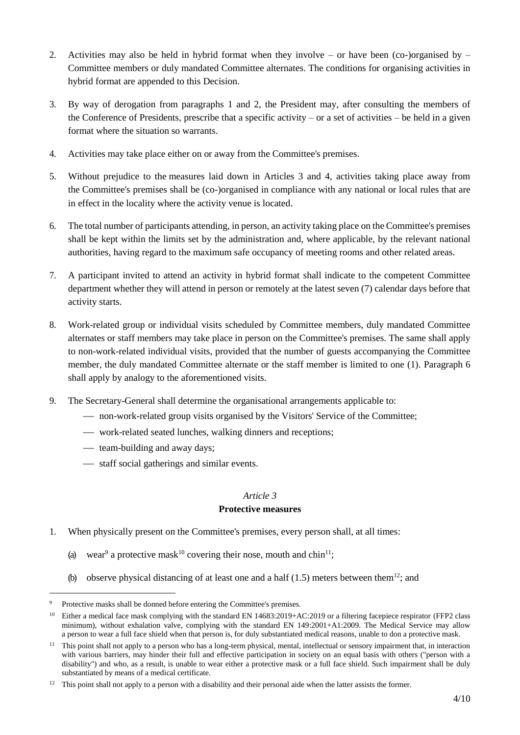- 2. Activities may also be held in hybrid format when they involve or have been (co-)organised by Committee members or duly mandated Committee alternates. The conditions for organising activities in hybrid format are appended to this Decision.
- 3. By way of derogation from paragraphs 1 and 2, the President may, after consulting the members of the Conference of Presidents, prescribe that a specific activity – or a set of activities – be held in a given format where the situation so warrants.
- 4. Activities may take place either on or away from the Committee's premises.
- 5. Without prejudice to the measures laid down in Articles 3 and 4, activities taking place away from the Committee's premises shall be (co-)organised in compliance with any national or local rules that are in effect in the locality where the activity venue is located.
- 6. The total number of participants attending, in person, an activity taking place on the Committee's premises shall be kept within the limits set by the administration and, where applicable, by the relevant national authorities, having regard to the maximum safe occupancy of meeting rooms and other related areas.
- 7. A participant invited to attend an activity in hybrid format shall indicate to the competent Committee department whether they will attend in person or remotely at the latest seven (7) calendar days before that activity starts.
- 8. Work-related group or individual visits scheduled by Committee members, duly mandated Committee alternates or staff members may take place in person on the Committee's premises. The same shall apply to non-work-related individual visits, provided that the number of guests accompanying the Committee member, the duly mandated Committee alternate or the staff member is limited to one (1). Paragraph 6 shall apply by analogy to the aforementioned visits.
- 9. The Secretary-General shall determine the organisational arrangements applicable to:
	- non-work-related group visits organised by the Visitors' Service of the Committee;
	- work-related seated lunches, walking dinners and receptions;
	- $\frac{1}{\sqrt{1-\frac{1}{\sqrt{1-\frac{1}{\sqrt{1-\frac{1}{\sqrt{1-\frac{1}{\sqrt{1-\frac{1}{\sqrt{1-\frac{1}{\sqrt{1-\frac{1}{\sqrt{1-\frac{1}{\sqrt{1-\frac{1}{\sqrt{1-\frac{1}{\sqrt{1-\frac{1}{\sqrt{1-\frac{1}{\sqrt{1-\frac{1}{\sqrt{1-\frac{1}{\sqrt{1-\frac{1}{\sqrt{1-\frac{1}{\sqrt{1-\frac{1}{\sqrt{1-\frac{1}{\sqrt{1-\frac{1}{\sqrt{1-\frac{1}{\sqrt{1-\frac{1}{\sqrt{1-\frac{1}{\sqrt{1-\frac{1}{\sqrt{1-\frac{1}{$

-

 $-$  staff social gatherings and similar events.

#### *Article 3*

## **Protective measures**

- 1. When physically present on the Committee's premises, every person shall, at all times:
	- (a) wear<sup>9</sup> a protective mask<sup>10</sup> covering their nose, mouth and chin<sup>11</sup>;
	- (b) observe physical distancing of at least one and a half  $(1.5)$  meters between them<sup>12</sup>; and

Protective masks shall be donned before entering the Committee's premises.

<sup>&</sup>lt;sup>10</sup> Either a medical face mask complying with the standard EN 14683:2019+AC:2019 or a filtering facepiece respirator (FFP2 class minimum), without exhalation valve, complying with the standard EN 149:2001+A1:2009. The Medical Service may allow a person to wear a full face shield when that person is, for duly substantiated medical reasons, unable to don a protective mask.

<sup>&</sup>lt;sup>11</sup> This point shall not apply to a person who has a long-term physical, mental, intellectual or sensory impairment that, in interaction with various barriers, may hinder their full and effective participation in society on an equal basis with others ("person with a disability") and who, as a result, is unable to wear either a protective mask or a full face shield. Such impairment shall be duly substantiated by means of a medical certificate.

<sup>&</sup>lt;sup>12</sup> This point shall not apply to a person with a disability and their personal aide when the latter assists the former.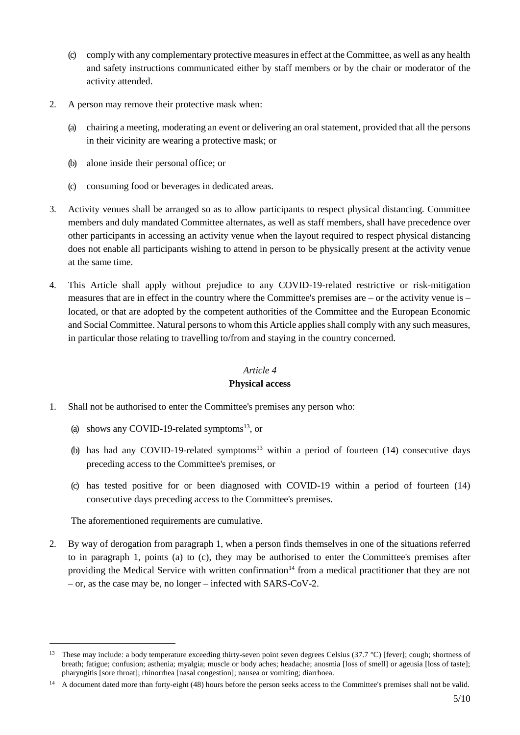- (c) comply with any complementary protective measures in effect at the Committee, as well as any health and safety instructions communicated either by staff members or by the chair or moderator of the activity attended.
- 2. A person may remove their protective mask when:
	- (a) chairing a meeting, moderating an event or delivering an oral statement, provided that all the persons in their vicinity are wearing a protective mask; or
	- (b) alone inside their personal office; or
	- (c) consuming food or beverages in dedicated areas.
- 3. Activity venues shall be arranged so as to allow participants to respect physical distancing. Committee members and duly mandated Committee alternates, as well as staff members, shall have precedence over other participants in accessing an activity venue when the layout required to respect physical distancing does not enable all participants wishing to attend in person to be physically present at the activity venue at the same time.
- 4. This Article shall apply without prejudice to any COVID-19-related restrictive or risk-mitigation measures that are in effect in the country where the Committee's premises are – or the activity venue is – located, or that are adopted by the competent authorities of the Committee and the European Economic and Social Committee. Natural persons to whom this Article applies shall comply with any such measures, in particular those relating to travelling to/from and staying in the country concerned.

# *Article 4* **Physical access**

- 1. Shall not be authorised to enter the Committee's premises any person who:
	- (a) shows any COVID-19-related symptoms $^{13}$ , or
	- (b) has had any COVID-19-related symptoms<sup>13</sup> within a period of fourteen  $(14)$  consecutive days preceding access to the Committee's premises, or
	- (c) has tested positive for or been diagnosed with COVID-19 within a period of fourteen (14) consecutive days preceding access to the Committee's premises.

The aforementioned requirements are cumulative.

-

2. By way of derogation from paragraph 1, when a person finds themselves in one of the situations referred to in paragraph 1, points (a) to (c), they may be authorised to enter the Committee's premises after providing the Medical Service with written confirmation<sup>14</sup> from a medical practitioner that they are not – or, as the case may be, no longer – infected with SARS-CoV-2.

<sup>&</sup>lt;sup>13</sup> These may include: a body temperature exceeding thirty-seven point seven degrees Celsius (37.7 °C) [fever]; cough; shortness of breath; fatigue; confusion; asthenia; myalgia; muscle or body aches; headache; anosmia [loss of smell] or ageusia [loss of taste]; pharyngitis [sore throat]; rhinorrhea [nasal congestion]; nausea or vomiting; diarrhoea.

<sup>&</sup>lt;sup>14</sup> A document dated more than forty-eight (48) hours before the person seeks access to the Committee's premises shall not be valid.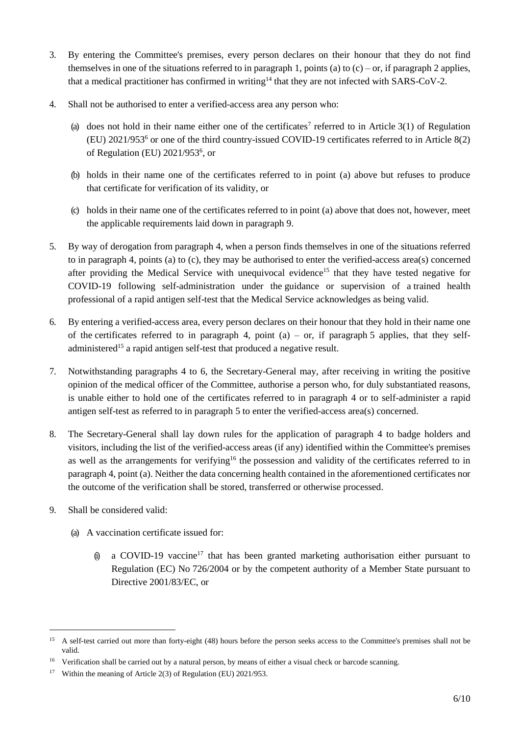- 3. By entering the Committee's premises, every person declares on their honour that they do not find themselves in one of the situations referred to in paragraph 1, points (a) to  $(c)$  – or, if paragraph 2 applies, that a medical practitioner has confirmed in writing<sup>14</sup> that they are not infected with SARS-CoV-2.
- 4. Shall not be authorised to enter a verified-access area any person who:
	- (a) does not hold in their name either one of the certificates<sup>7</sup> referred to in Article  $3(1)$  of Regulation (EU) 2021/953<sup>6</sup> or one of the third country-issued COVID-19 certificates referred to in Article 8(2) of Regulation (EU) 2021/953<sup>6</sup>, or
	- (b) holds in their name one of the certificates referred to in point (a) above but refuses to produce that certificate for verification of its validity, or
	- (c) holds in their name one of the certificates referred to in point (a) above that does not, however, meet the applicable requirements laid down in paragraph 9.
- 5. By way of derogation from paragraph 4, when a person finds themselves in one of the situations referred to in paragraph 4, points (a) to (c), they may be authorised to enter the verified-access area(s) concerned after providing the Medical Service with unequivocal evidence<sup>15</sup> that they have tested negative for COVID-19 following self-administration under the guidance or supervision of a trained health professional of a rapid antigen self-test that the Medical Service acknowledges as being valid.
- 6. By entering a verified-access area, every person declares on their honour that they hold in their name one of the certificates referred to in paragraph 4, point  $(a)$  – or, if paragraph 5 applies, that they selfadministered<sup>15</sup> a rapid antigen self-test that produced a negative result.
- 7. Notwithstanding paragraphs 4 to 6, the Secretary-General may, after receiving in writing the positive opinion of the medical officer of the Committee, authorise a person who, for duly substantiated reasons, is unable either to hold one of the certificates referred to in paragraph 4 or to self-administer a rapid antigen self-test as referred to in paragraph 5 to enter the verified-access area(s) concerned.
- 8. The Secretary-General shall lay down rules for the application of paragraph 4 to badge holders and visitors, including the list of the verified-access areas (if any) identified within the Committee's premises as well as the arrangements for verifying<sup>16</sup> the possession and validity of the certificates referred to in paragraph 4, point (a). Neither the data concerning health contained in the aforementioned certificates nor the outcome of the verification shall be stored, transferred or otherwise processed.
- 9. Shall be considered valid:

1

- (a) A vaccination certificate issued for:
	- $(i)$  a COVID-19 vaccine<sup>17</sup> that has been granted marketing authorisation either pursuant to Regulation (EC) No 726/2004 or by the competent authority of a Member State pursuant to Directive 2001/83/EC, or

<sup>&</sup>lt;sup>15</sup> A self-test carried out more than forty-eight (48) hours before the person seeks access to the Committee's premises shall not be valid.

<sup>&</sup>lt;sup>16</sup> Verification shall be carried out by a natural person, by means of either a visual check or barcode scanning.

<sup>17</sup> Within the meaning of Article 2(3) of Regulation (EU) 2021/953.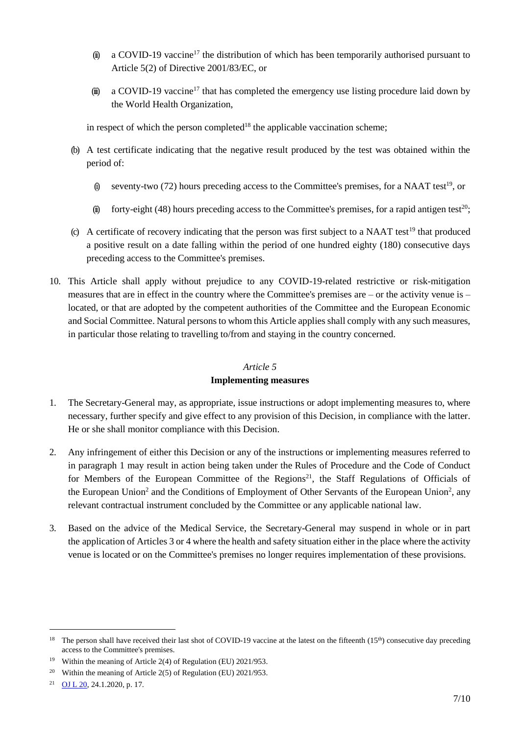- (ii) a COVID-19 vaccine<sup>17</sup> the distribution of which has been temporarily authorised pursuant to Article 5(2) of Directive 2001/83/EC, or
- (iii) a COVID-19 vaccine<sup>17</sup> that has completed the emergency use listing procedure laid down by the World Health Organization,

in respect of which the person completed<sup>18</sup> the applicable vaccination scheme:

- (b) A test certificate indicating that the negative result produced by the test was obtained within the period of:
	- (i) seventy-two (72) hours preceding access to the Committee's premises, for a NAAT test<sup>19</sup>, or
	- (ii) forty-eight (48) hours preceding access to the Committee's premises, for a rapid antigen test<sup>20</sup>;
- (c) A certificate of recovery indicating that the person was first subject to a NAAT test<sup>19</sup> that produced a positive result on a date falling within the period of one hundred eighty (180) consecutive days preceding access to the Committee's premises.
- 10. This Article shall apply without prejudice to any COVID-19-related restrictive or risk-mitigation measures that are in effect in the country where the Committee's premises are – or the activity venue is – located, or that are adopted by the competent authorities of the Committee and the European Economic and Social Committee. Natural persons to whom this Article applies shall comply with any such measures, in particular those relating to travelling to/from and staying in the country concerned.

#### *Article 5*

## **Implementing measures**

- 1. The Secretary-General may, as appropriate, issue instructions or adopt implementing measures to, where necessary, further specify and give effect to any provision of this Decision, in compliance with the latter. He or she shall monitor compliance with this Decision.
- 2. Any infringement of either this Decision or any of the instructions or implementing measures referred to in paragraph 1 may result in action being taken under the Rules of Procedure and the Code of Conduct for Members of the European Committee of the Regions<sup>21</sup>, the Staff Regulations of Officials of the European Union<sup>2</sup> and the Conditions of Employment of Other Servants of the European Union<sup>2</sup>, any relevant contractual instrument concluded by the Committee or any applicable national law.
- 3. Based on the advice of the Medical Service, the Secretary-General may suspend in whole or in part the application of Articles 3 or 4 where the health and safety situation either in the place where the activity venue is located or on the Committee's premises no longer requires implementation of these provisions.

1

<sup>&</sup>lt;sup>18</sup> The person shall have received their last shot of COVID-19 vaccine at the latest on the fifteenth (15<sup>th</sup>) consecutive day preceding access to the Committee's premises.

<sup>19</sup> Within the meaning of Article 2(4) of Regulation (EU) 2021/953.

<sup>&</sup>lt;sup>20</sup> Within the meaning of Article 2(5) of Regulation (EU) 2021/953.

<sup>21</sup> OJ L 20, 24.1.2020, p. 17.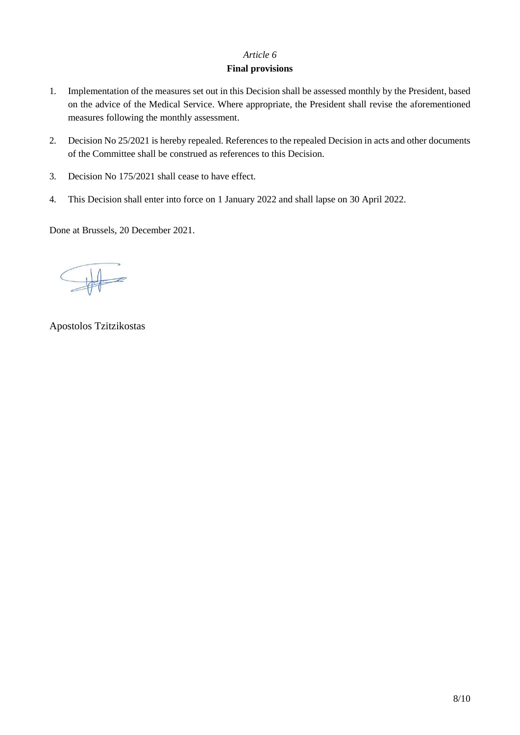# *Article 6*

# **Final provisions**

- 1. Implementation of the measures set out in this Decision shall be assessed monthly by the President, based on the advice of the Medical Service. Where appropriate, the President shall revise the aforementioned measures following the monthly assessment.
- 2. Decision No 25/2021 is hereby repealed. References to the repealed Decision in acts and other documents of the Committee shall be construed as references to this Decision.
- 3. Decision No 175/2021 shall cease to have effect.
- 4. This Decision shall enter into force on 1 January 2022 and shall lapse on 30 April 2022.

Done at Brussels, 20 December 2021.

Apostolos Tzitzikostas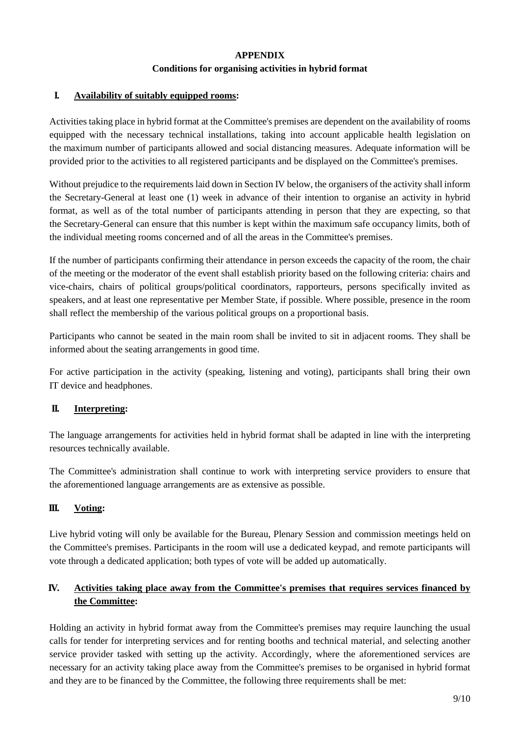## **APPENDIX**

### **Conditions for organising activities in hybrid format**

## **I. Availability of suitably equipped rooms:**

Activities taking place in hybrid format at the Committee's premises are dependent on the availability of rooms equipped with the necessary technical installations, taking into account applicable health legislation on the maximum number of participants allowed and social distancing measures. Adequate information will be provided prior to the activities to all registered participants and be displayed on the Committee's premises.

Without prejudice to the requirements laid down in Section IV below, the organisers of the activity shall inform the Secretary-General at least one (1) week in advance of their intention to organise an activity in hybrid format, as well as of the total number of participants attending in person that they are expecting, so that the Secretary-General can ensure that this number is kept within the maximum safe occupancy limits, both of the individual meeting rooms concerned and of all the areas in the Committee's premises.

If the number of participants confirming their attendance in person exceeds the capacity of the room, the chair of the meeting or the moderator of the event shall establish priority based on the following criteria: chairs and vice-chairs, chairs of political groups/political coordinators, rapporteurs, persons specifically invited as speakers, and at least one representative per Member State, if possible. Where possible, presence in the room shall reflect the membership of the various political groups on a proportional basis.

Participants who cannot be seated in the main room shall be invited to sit in adjacent rooms. They shall be informed about the seating arrangements in good time.

For active participation in the activity (speaking, listening and voting), participants shall bring their own IT device and headphones.

# **II. Interpreting:**

The language arrangements for activities held in hybrid format shall be adapted in line with the interpreting resources technically available.

The Committee's administration shall continue to work with interpreting service providers to ensure that the aforementioned language arrangements are as extensive as possible.

# **III. Voting:**

Live hybrid voting will only be available for the Bureau, Plenary Session and commission meetings held on the Committee's premises. Participants in the room will use a dedicated keypad, and remote participants will vote through a dedicated application; both types of vote will be added up automatically.

# **IV. Activities taking place away from the Committee's premises that requires services financed by the Committee:**

Holding an activity in hybrid format away from the Committee's premises may require launching the usual calls for tender for interpreting services and for renting booths and technical material, and selecting another service provider tasked with setting up the activity. Accordingly, where the aforementioned services are necessary for an activity taking place away from the Committee's premises to be organised in hybrid format and they are to be financed by the Committee, the following three requirements shall be met: